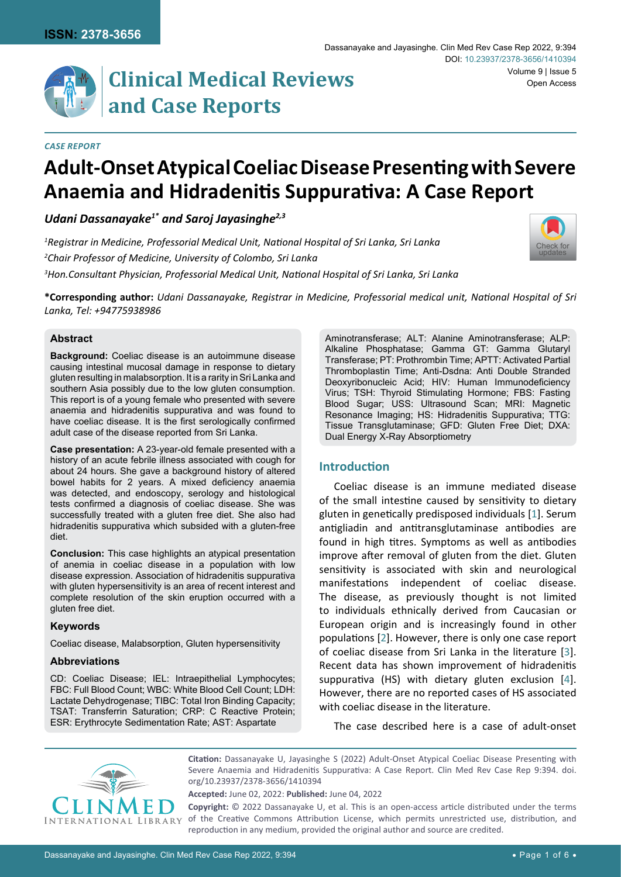# **Clinical Medical Reviews and Case Reports**

#### *Case Report*

## **Adult-Onset Atypical Coeliac Disease Presenting with Severe Anaemia and Hidradenitis Suppurativa: A Case Report**

### *Udani Dassanayake1\* and Saroj Jayasinghe2,3*

*1 Registrar in Medicine, Professorial Medical Unit, National Hospital of Sri Lanka, Sri Lanka 2 Chair Professor of Medicine, University of Colombo, Sri Lanka 3 Hon.Consultant Physician, Professorial Medical Unit, National Hospital of Sri Lanka, Sri Lanka*



**\*Corresponding author:** *Udani Dassanayake, Registrar in Medicine, Professorial medical unit, National Hospital of Sri Lanka, Tel: +94775938986*

#### **Abstract**

**Background:** Coeliac disease is an autoimmune disease causing intestinal mucosal damage in response to dietary gluten resulting in malabsorption. It is a rarity in Sri Lanka and southern Asia possibly due to the low gluten consumption. This report is of a young female who presented with severe anaemia and hidradenitis suppurativa and was found to have coeliac disease. It is the first serologically confirmed adult case of the disease reported from Sri Lanka.

**Case presentation:** A 23-year-old female presented with a history of an acute febrile illness associated with cough for about 24 hours. She gave a background history of altered bowel habits for 2 years. A mixed deficiency anaemia was detected, and endoscopy, serology and histological tests confirmed a diagnosis of coeliac disease. She was successfully treated with a gluten free diet. She also had hidradenitis suppurativa which subsided with a gluten-free diet.

**Conclusion:** This case highlights an atypical presentation of anemia in coeliac disease in a population with low disease expression. Association of hidradenitis suppurativa with gluten hypersensitivity is an area of recent interest and complete resolution of the skin eruption occurred with a gluten free diet.

#### **Keywords**

Coeliac disease, Malabsorption, Gluten hypersensitivity

#### **Abbreviations**

CD: Coeliac Disease; IEL: Intraepithelial Lymphocytes; FBC: Full Blood Count; WBC: White Blood Cell Count; LDH: Lactate Dehydrogenase; TIBC: Total Iron Binding Capacity; TSAT: Transferrin Saturation; CRP: C Reactive Protein; ESR: Erythrocyte Sedimentation Rate; AST: Aspartate

Aminotransferase; ALT: Alanine Aminotransferase; ALP: Alkaline Phosphatase; Gamma GT: Gamma Glutaryl Transferase; PT: Prothrombin Time; APTT: Activated Partial Thromboplastin Time; Anti-Dsdna: Anti Double Stranded Deoxyribonucleic Acid; HIV: Human Immunodeficiency Virus; TSH: Thyroid Stimulating Hormone; FBS: Fasting Blood Sugar; USS: Ultrasound Scan; MRI: Magnetic Resonance Imaging; HS: Hidradenitis Suppurativa; TTG: Tissue Transglutaminase; GFD: Gluten Free Diet; DXA: Dual Energy X-Ray Absorptiometry

#### **Introduction**

Coeliac disease is an immune mediated disease of the small intestine caused by sensitivity to dietary gluten in genetically predisposed individuals [[1](#page-5-0)]. Serum antigliadin and antitransglutaminase antibodies are found in high titres. Symptoms as well as antibodies improve after removal of gluten from the diet. Gluten sensitivity is associated with skin and neurological manifestations independent of coeliac disease. The disease, as previously thought is not limited to individuals ethnically derived from Caucasian or European origin and is increasingly found in other populations [[2](#page-5-1)]. However, there is only one case report of coeliac disease from Sri Lanka in the literature [\[3\]](#page-5-2). Recent data has shown improvement of hidradenitis suppurativa (HS) with dietary gluten exclusion [[4](#page-5-3)]. However, there are no reported cases of HS associated with coeliac disease in the literature.

The case described here is a case of adult-onset



**Citation:** Dassanayake U, Jayasinghe S (2022) Adult-Onset Atypical Coeliac Disease Presenting with Severe Anaemia and Hidradenitis Suppurativa: A Case Report. Clin Med Rev Case Rep 9:394. [doi.](https://doi.org/10.23937/2378-3656/1410394) [org/10.23937/2378-3656/1410394](https://doi.org/10.23937/2378-3656/1410394)

**Accepted:** June 02, 2022: **Published:** June 04, 2022

**Copyright:** © 2022 Dassanayake U, et al. This is an open-access article distributed under the terms of the Creative Commons Attribution License, which permits unrestricted use, distribution, and reproduction in any medium, provided the original author and source are credited.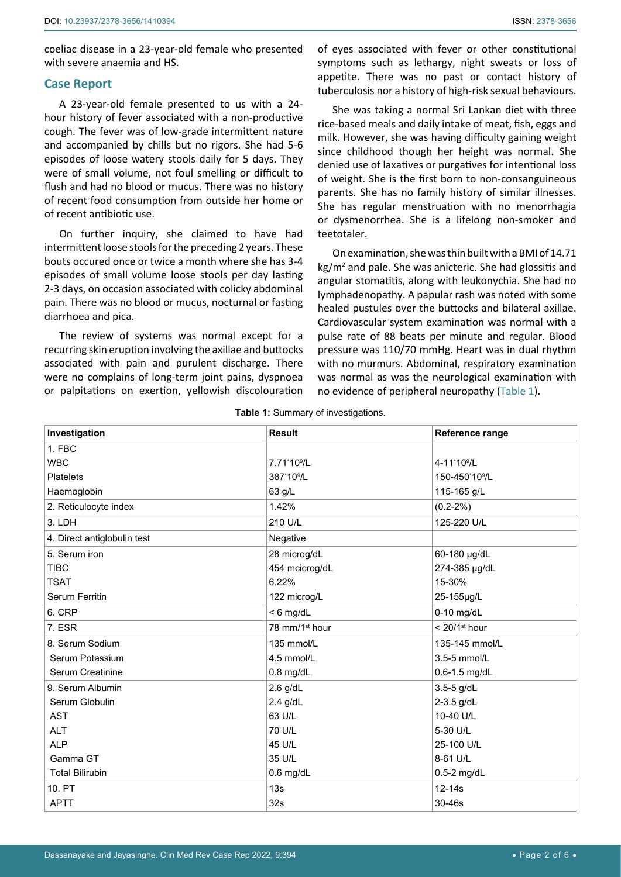coeliac disease in a 23-year-old female who presented with severe anaemia and HS.

#### **Case Report**

A 23-year-old female presented to us with a 24 hour history of fever associated with a non-productive cough. The fever was of low-grade intermittent nature and accompanied by chills but no rigors. She had 5-6 episodes of loose watery stools daily for 5 days. They were of small volume, not foul smelling or difficult to flush and had no blood or mucus. There was no history of recent food consumption from outside her home or of recent antibiotic use.

On further inquiry, she claimed to have had intermittent loose stools for the preceding 2 years. These bouts occured once or twice a month where she has 3-4 episodes of small volume loose stools per day lasting 2-3 days, on occasion associated with colicky abdominal pain. There was no blood or mucus, nocturnal or fasting diarrhoea and pica.

The review of systems was normal except for a recurring skin eruption involving the axillae and buttocks associated with pain and purulent discharge. There were no complains of long-term joint pains, dyspnoea or palpitations on exertion, yellowish discolouration

of eyes associated with fever or other constitutional symptoms such as lethargy, night sweats or loss of appetite. There was no past or contact history of tuberculosis nor a history of high-risk sexual behaviours.

She was taking a normal Sri Lankan diet with three rice-based meals and daily intake of meat, fish, eggs and milk. However, she was having difficulty gaining weight since childhood though her height was normal. She denied use of laxatives or purgatives for intentional loss of weight. She is the first born to non-consanguineous parents. She has no family history of similar illnesses. She has regular menstruation with no menorrhagia or dysmenorrhea. She is a lifelong non-smoker and teetotaler.

On examination, she was thin built with a BMI of 14.71 kg/m<sup>2</sup> and pale. She was anicteric. She had glossitis and angular stomatitis, along with leukonychia. She had no lymphadenopathy. A papular rash was noted with some healed pustules over the buttocks and bilateral axillae. Cardiovascular system examination was normal with a pulse rate of 88 beats per minute and regular. Blood pressure was 110/70 mmHg. Heart was in dual rhythm with no murmurs. Abdominal, respiratory examination was normal as was the neurological examination with no evidence of peripheral neuropathy ([Table 1](#page-1-0)).

| Investigation               | <b>Result</b>              | Reference range             |
|-----------------------------|----------------------------|-----------------------------|
| 1. FBC                      |                            |                             |
| <b>WBC</b>                  | 7.71*10 <sup>9</sup> /L    | 4-11*10 <sup>9</sup> /L     |
| <b>Platelets</b>            | 387*10 <sup>9</sup> /L     | 150-450*10 <sup>9</sup> /L  |
| Haemoglobin                 | 63 g/L                     | 115-165 g/L                 |
| 2. Reticulocyte index       | 1.42%                      | $(0.2 - 2\%)$               |
| 3. LDH                      | 210 U/L                    | 125-220 U/L                 |
| 4. Direct antiglobulin test | Negative                   |                             |
| 5. Serum iron               | 28 microg/dL               | 60-180 µg/dL                |
| <b>TIBC</b>                 | 454 mcicrog/dL             | 274-385 µg/dL               |
| <b>TSAT</b>                 | 6.22%                      | 15-30%                      |
| Serum Ferritin              | 122 microg/L               | 25-155µg/L                  |
| 6. CRP                      | $< 6$ mg/dL                | $0-10$ mg/dL                |
| 7. ESR                      | 78 mm/1 <sup>st</sup> hour | $< 20/1$ <sup>st</sup> hour |
| 8. Serum Sodium             | 135 mmol/L                 | 135-145 mmol/L              |
| Serum Potassium             | 4.5 mmol/L                 | 3.5-5 mmol/L                |
| Serum Creatinine            | $0.8$ mg/dL                | 0.6-1.5 mg/dL               |
| 9. Serum Albumin            | $2.6$ g/dL                 | 3.5-5 g/dL                  |
| Serum Globulin              | $2.4$ g/dL                 | 2-3.5 g/dL                  |
| <b>AST</b>                  | 63 U/L                     | 10-40 U/L                   |
| <b>ALT</b>                  | 70 U/L                     | 5-30 U/L                    |
| <b>ALP</b>                  | 45 U/L                     | 25-100 U/L                  |
| Gamma GT                    | 35 U/L                     | 8-61 U/L                    |
| <b>Total Bilirubin</b>      | $0.6$ mg/dL                | $0.5-2$ mg/dL               |
| 10. PT                      | 13s                        | 12-14s                      |
| <b>APTT</b>                 | 32s                        | $30-46s$                    |

<span id="page-1-0"></span>**Table 1:** Summary of investigations.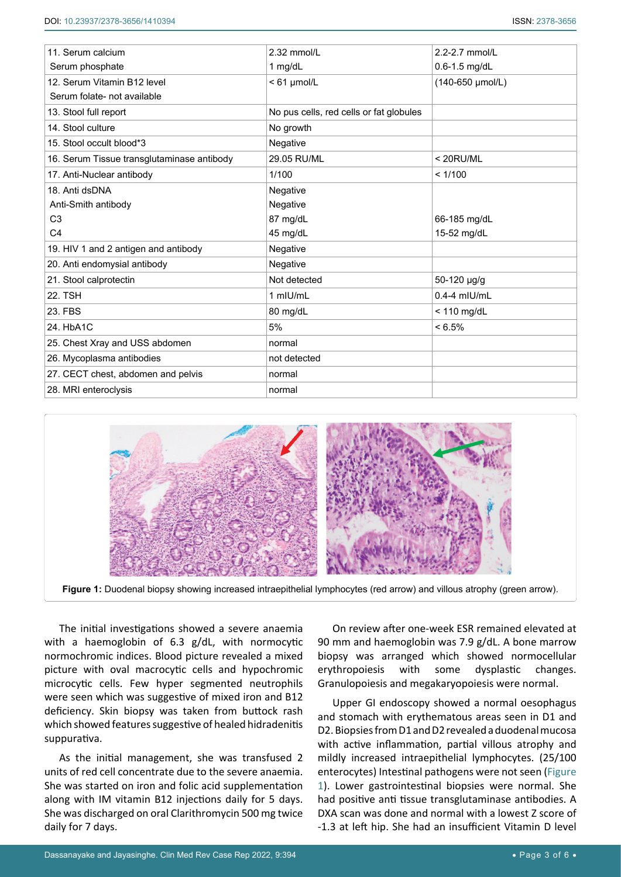| 11. Serum calcium                          | 2.32 mmol/L                             | 2.2-2.7 mmol/L   |
|--------------------------------------------|-----------------------------------------|------------------|
| Serum phosphate                            | 1 $mg/dL$                               | 0.6-1.5 mg/dL    |
| 12. Serum Vitamin B12 level                | $< 61$ µmol/L                           | (140-650 µmol/L) |
| Serum folate- not available                |                                         |                  |
| 13. Stool full report                      | No pus cells, red cells or fat globules |                  |
| 14. Stool culture                          | No growth                               |                  |
| 15. Stool occult blood*3                   | Negative                                |                  |
| 16. Serum Tissue transglutaminase antibody | 29.05 RU/ML                             | $<$ 20RU/ML      |
| 17. Anti-Nuclear antibody                  | 1/100                                   | < 1/100          |
| 18. Anti dsDNA                             | Negative                                |                  |
| Anti-Smith antibody                        | Negative                                |                  |
| C <sub>3</sub>                             | 87 mg/dL                                | 66-185 mg/dL     |
| C <sub>4</sub>                             | 45 mg/dL                                | 15-52 mg/dL      |
| 19. HIV 1 and 2 antigen and antibody       | Negative                                |                  |
| 20. Anti endomysial antibody               | Negative                                |                  |
| 21. Stool calprotectin                     | Not detected                            | 50-120 µg/g      |
| <b>22. TSH</b>                             | 1 mIU/mL                                | $0.4 - 4$ mlU/mL |
| 23. FBS                                    | 80 mg/dL                                | $<$ 110 mg/dL    |
| 24. HbA1C                                  | 5%                                      | $< 6.5\%$        |
| 25. Chest Xray and USS abdomen             | normal                                  |                  |
| 26. Mycoplasma antibodies                  | not detected                            |                  |
| 27. CECT chest, abdomen and pelvis         | normal                                  |                  |
| 28. MRI enteroclysis                       | normal                                  |                  |
|                                            |                                         |                  |

<span id="page-2-0"></span>

**Figure 1:** Duodenal biopsy showing increased intraepithelial lymphocytes (red arrow) and villous atrophy (green arrow).

The initial investigations showed a severe anaemia with a haemoglobin of 6.3 g/dL, with normocytic normochromic indices. Blood picture revealed a mixed picture with oval macrocytic cells and hypochromic microcytic cells. Few hyper segmented neutrophils were seen which was suggestive of mixed iron and B12 deficiency. Skin biopsy was taken from buttock rash which showed features suggestive of healed hidradenitis suppurativa.

As the initial management, she was transfused 2 units of red cell concentrate due to the severe anaemia. She was started on iron and folic acid supplementation along with IM vitamin B12 injections daily for 5 days. She was discharged on oral Clarithromycin 500 mg twice daily for 7 days.

On review after one-week ESR remained elevated at 90 mm and haemoglobin was 7.9 g/dL. A bone marrow biopsy was arranged which showed normocellular erythropoiesis with some dysplastic changes. Granulopoiesis and megakaryopoiesis were normal.

Upper GI endoscopy showed a normal oesophagus and stomach with erythematous areas seen in D1 and D2. Biopsies from D1 and D2 revealed a duodenal mucosa with active inflammation, partial villous atrophy and mildly increased intraepithelial lymphocytes. (25/100 enterocytes) Intestinal pathogens were not seen ([Figure](#page-2-0)  [1](#page-2-0)). Lower gastrointestinal biopsies were normal. She had positive anti tissue transglutaminase antibodies. A DXA scan was done and normal with a lowest Z score of -1.3 at left hip. She had an insufficient Vitamin D level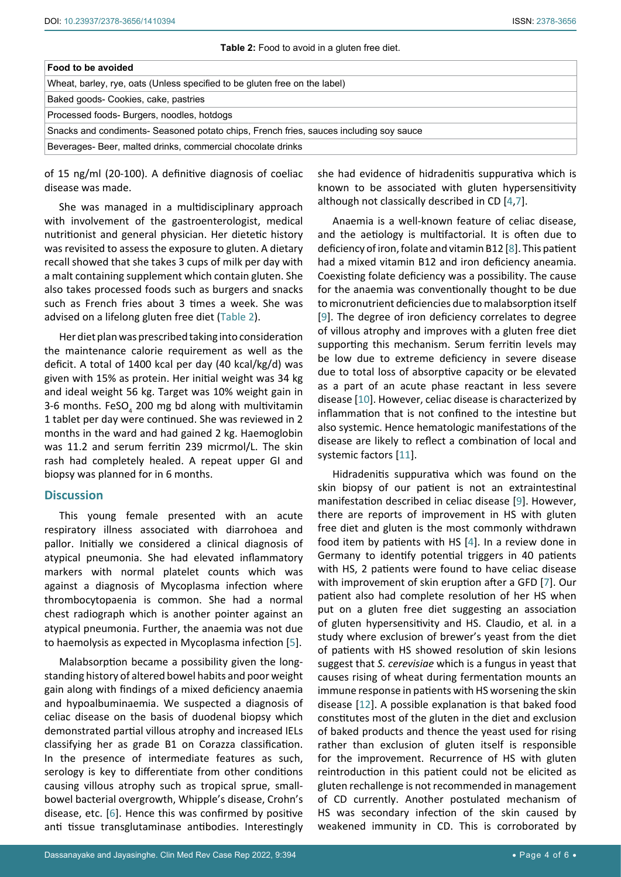| Food to be avoided                                                                     |
|----------------------------------------------------------------------------------------|
| Wheat, barley, rye, oats (Unless specified to be gluten free on the label)             |
| Baked goods- Cookies, cake, pastries                                                   |
| Processed foods- Burgers, noodles, hotdogs                                             |
| Snacks and condiments- Seasoned potato chips, French fries, sauces including soy sauce |
| Beverages- Beer, malted drinks, commercial chocolate drinks                            |

of 15 ng/ml (20-100). A definitive diagnosis of coeliac disease was made.

She was managed in a multidisciplinary approach with involvement of the gastroenterologist, medical nutritionist and general physician. Her dietetic history was revisited to assess the exposure to gluten. A dietary recall showed that she takes 3 cups of milk per day with a malt containing supplement which contain gluten. She also takes processed foods such as burgers and snacks such as French fries about 3 times a week. She was advised on a lifelong gluten free diet ([Table 2\)](#page-3-0).

Her diet plan was prescribed taking into consideration the maintenance calorie requirement as well as the deficit. A total of 1400 kcal per day (40 kcal/kg/d) was given with 15% as protein. Her initial weight was 34 kg and ideal weight 56 kg. Target was 10% weight gain in 3-6 months. FeSO<sub>4</sub> 200 mg bd along with multivitamin 1 tablet per day were continued. She was reviewed in 2 months in the ward and had gained 2 kg. Haemoglobin was 11.2 and serum ferritin 239 micrmol/L. The skin rash had completely healed. A repeat upper GI and biopsy was planned for in 6 months.

#### **Discussion**

This young female presented with an acute respiratory illness associated with diarrohoea and pallor. Initially we considered a clinical diagnosis of atypical pneumonia. She had elevated inflammatory markers with normal platelet counts which was against a diagnosis of Mycoplasma infection where thrombocytopaenia is common. She had a normal chest radiograph which is another pointer against an atypical pneumonia. Further, the anaemia was not due to haemolysis as expected in Mycoplasma infection [[5](#page-5-10)].

Malabsorption became a possibility given the longstanding history of altered bowel habits and poor weight gain along with findings of a mixed deficiency anaemia and hypoalbuminaemia. We suspected a diagnosis of celiac disease on the basis of duodenal biopsy which demonstrated partial villous atrophy and increased IELs classifying her as grade B1 on Corazza classification. In the presence of intermediate features as such, serology is key to differentiate from other conditions causing villous atrophy such as tropical sprue, smallbowel bacterial overgrowth, Whipple's disease, Crohn's disease, etc. [\[6\]](#page-5-11). Hence this was confirmed by positive anti tissue transglutaminase antibodies. Interestingly

<span id="page-3-0"></span>she had evidence of hidradenitis suppurativa which is known to be associated with gluten hypersensitivity although not classically described in CD [[4,](#page-5-3)[7](#page-5-4)].

Anaemia is a well-known feature of celiac disease, and the aetiology is multifactorial. It is often due to deficiency of iron, folate and vitamin B12 [[8](#page-5-5)]. This patient had a mixed vitamin B12 and iron deficiency aneamia. Coexisting folate deficiency was a possibility. The cause for the anaemia was conventionally thought to be due to micronutrient deficiencies due to malabsorption itself [\[9\]](#page-5-6). The degree of iron deficiency correlates to degree of villous atrophy and improves with a gluten free diet supporting this mechanism. Serum ferritin levels may be low due to extreme deficiency in severe disease due to total loss of absorptive capacity or be elevated as a part of an acute phase reactant in less severe disease [[10](#page-5-7)]. However, celiac disease is characterized by inflammation that is not confined to the intestine but also systemic. Hence hematologic manifestations of the disease are likely to reflect a combination of local and systemic factors [[11](#page-5-8)].

Hidradenitis suppurativa which was found on the skin biopsy of our patient is not an extraintestinal manifestation described in celiac disease [\[9\]](#page-5-6). However, there are reports of improvement in HS with gluten free diet and gluten is the most commonly withdrawn food item by patients with HS [[4](#page-5-3)]. In a review done in Germany to identify potential triggers in 40 patients with HS, 2 patients were found to have celiac disease with improvement of skin eruption after a GFD [\[7\]](#page-5-4). Our patient also had complete resolution of her HS when put on a gluten free diet suggesting an association of gluten hypersensitivity and HS. Claudio, et al*.* in a study where exclusion of brewer's yeast from the diet of patients with HS showed resolution of skin lesions suggest that *S. cerevisiae* which is a fungus in yeast that causes rising of wheat during fermentation mounts an immune response in patients with HS worsening the skin disease [[12](#page-5-9)]. A possible explanation is that baked food constitutes most of the gluten in the diet and exclusion of baked products and thence the yeast used for rising rather than exclusion of gluten itself is responsible for the improvement. Recurrence of HS with gluten reintroduction in this patient could not be elicited as gluten rechallenge is not recommended in management of CD currently. Another postulated mechanism of HS was secondary infection of the skin caused by weakened immunity in CD. This is corroborated by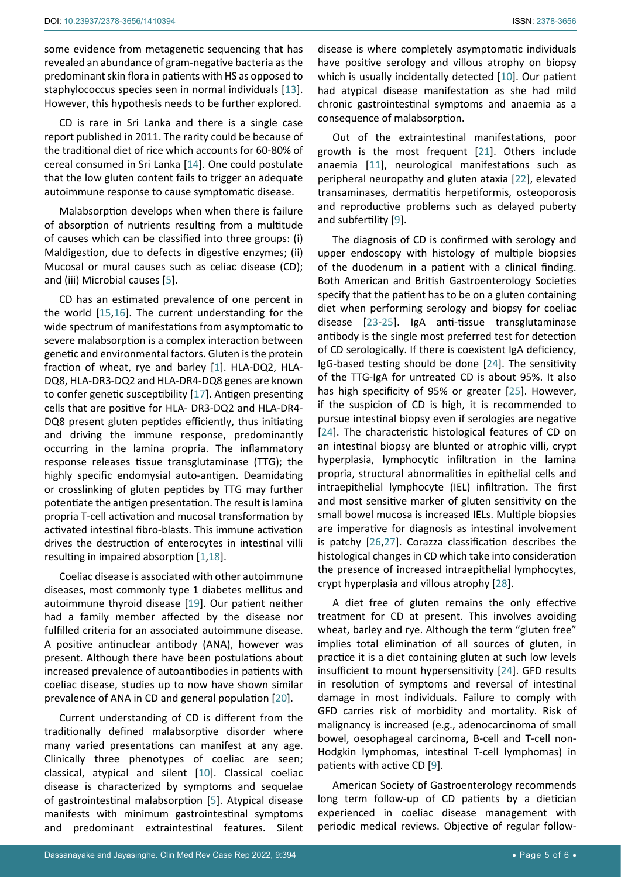some evidence from metagenetic sequencing that has revealed an abundance of gram-negative bacteria as the predominant skin flora in patients with HS as opposed to staphylococcus species seen in normal individuals [\[13](#page-5-20)]. However, this hypothesis needs to be further explored.

CD is rare in Sri Lanka and there is a single case report published in 2011. The rarity could be because of the traditional diet of rice which accounts for 60-80% of cereal consumed in Sri Lanka [[14](#page-5-21)]. One could postulate that the low gluten content fails to trigger an adequate autoimmune response to cause symptomatic disease.

Malabsorption develops when when there is failure of absorption of nutrients resulting from a multitude of causes which can be classified into three groups: (i) Maldigestion, due to defects in digestive enzymes; (ii) Mucosal or mural causes such as celiac disease (CD); and (iii) Microbial causes [[5\]](#page-5-10).

CD has an estimated prevalence of one percent in the world [\[15](#page-5-22),[16](#page-5-23)]. The current understanding for the wide spectrum of manifestations from asymptomatic to severe malabsorption is a complex interaction between genetic and environmental factors. Gluten is the protein fraction of wheat, rye and barley [[1](#page-5-0)]. HLA-DQ2, HLA-DQ8, HLA-DR3-DQ2 and HLA-DR4-DQ8 genes are known to confer genetic susceptibility [[17\]](#page-5-24). Antigen presenting cells that are positive for HLA- DR3-DQ2 and HLA-DR4- DQ8 present gluten peptides efficiently, thus initiating and driving the immune response, predominantly occurring in the lamina propria. The inflammatory response releases tissue transglutaminase (TTG); the highly specific endomysial auto-antigen. Deamidating or crosslinking of gluten peptides by TTG may further potentiate the antigen presentation. The result is lamina propria T-cell activation and mucosal transformation by activated intestinal fibro-blasts. This immune activation drives the destruction of enterocytes in intestinal villi resulting in impaired absorption [[1](#page-5-0),[18](#page-5-25)].

Coeliac disease is associated with other autoimmune diseases, most commonly type 1 diabetes mellitus and autoimmune thyroid disease [\[19\]](#page-5-26). Our patient neither had a family member affected by the disease nor fulfilled criteria for an associated autoimmune disease. A positive antinuclear antibody (ANA), however was present. Although there have been postulations about increased prevalence of autoantibodies in patients with coeliac disease, studies up to now have shown similar prevalence of ANA in CD and general population [[20](#page-5-27)].

Current understanding of CD is different from the traditionally defined malabsorptive disorder where many varied presentations can manifest at any age. Clinically three phenotypes of coeliac are seen; classical, atypical and silent [[10](#page-5-7)]. Classical coeliac disease is characterized by symptoms and sequelae of gastrointestinal malabsorption [[5](#page-5-10)]. Atypical disease manifests with minimum gastrointestinal symptoms and predominant extraintestinal features. Silent

disease is where completely asymptomatic individuals have positive serology and villous atrophy on biopsy which is usually incidentally detected [[10](#page-5-7)]. Our patient had atypical disease manifestation as she had mild chronic gastrointestinal symptoms and anaemia as a consequence of malabsorption.

Out of the extraintestinal manifestations, poor growth is the most frequent [[21](#page-5-12)]. Others include anaemia [[11](#page-5-8)], neurological manifestations such as peripheral neuropathy and gluten ataxia [[22\]](#page-5-13), elevated transaminases, dermatitis herpetiformis, osteoporosis and reproductive problems such as delayed puberty and subfertility [\[9\]](#page-5-6).

The diagnosis of CD is confirmed with serology and upper endoscopy with histology of multiple biopsies of the duodenum in a patient with a clinical finding. Both American and British Gastroenterology Societies specify that the patient has to be on a gluten containing diet when performing serology and biopsy for coeliac disease [[23](#page-5-14)-[25](#page-5-15)]. IgA anti-tissue transglutaminase antibody is the single most preferred test for detection of CD serologically. If there is coexistent IgA deficiency, IgG-based testing should be done [[24](#page-5-16)]. The sensitivity of the TTG-IgA for untreated CD is about 95%. It also has high specificity of 95% or greater [\[25](#page-5-15)]. However, if the suspicion of CD is high, it is recommended to pursue intestinal biopsy even if serologies are negative [[24](#page-5-16)]. The characteristic histological features of CD on an intestinal biopsy are blunted or atrophic villi, crypt hyperplasia, lymphocytic infiltration in the lamina propria, structural abnormalities in epithelial cells and intraepithelial lymphocyte (IEL) infiltration. The first and most sensitive marker of gluten sensitivity on the small bowel mucosa is increased IELs. Multiple biopsies are imperative for diagnosis as intestinal involvement is patchy [\[26](#page-5-17),[27](#page-5-18)]. Corazza classification describes the histological changes in CD which take into consideration the presence of increased intraepithelial lymphocytes, crypt hyperplasia and villous atrophy [\[28\]](#page-5-19).

A diet free of gluten remains the only effective treatment for CD at present. This involves avoiding wheat, barley and rye. Although the term "gluten free" implies total elimination of all sources of gluten, in practice it is a diet containing gluten at such low levels insufficient to mount hypersensitivity [[24](#page-5-16)]. GFD results in resolution of symptoms and reversal of intestinal damage in most individuals. Failure to comply with GFD carries risk of morbidity and mortality. Risk of malignancy is increased (e.g., adenocarcinoma of small bowel, oesophageal carcinoma, B-cell and T-cell non-Hodgkin lymphomas, intestinal T-cell lymphomas) in patients with active CD [\[9](#page-5-6)].

American Society of Gastroenterology recommends long term follow-up of CD patients by a dietician experienced in coeliac disease management with periodic medical reviews. Objective of regular follow